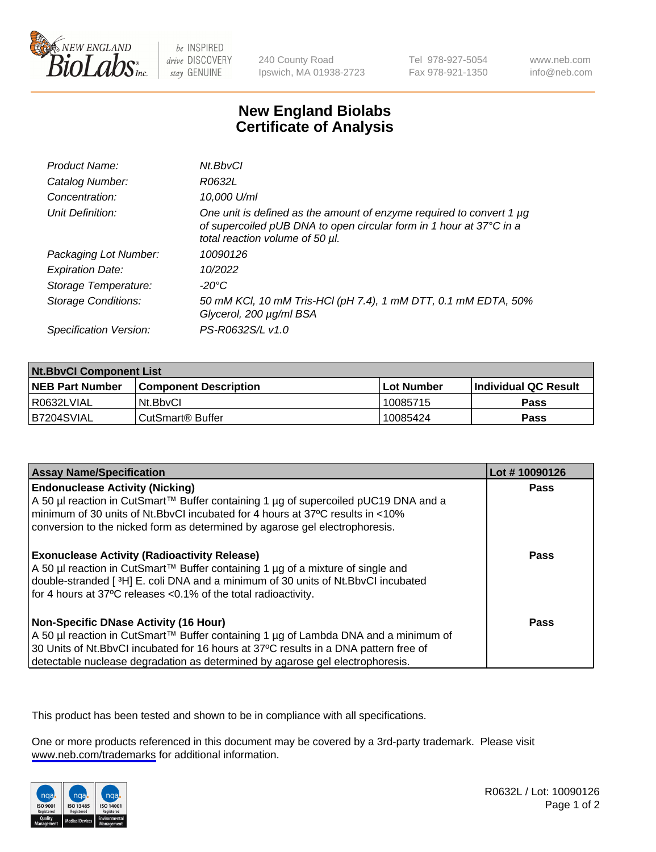

be INSPIRED drive DISCOVERY stay GENUINE

240 County Road Ipswich, MA 01938-2723 Tel 978-927-5054 Fax 978-921-1350

www.neb.com info@neb.com

## **New England Biolabs Certificate of Analysis**

| Product Name:              | Nt.BbvCl                                                                                                                                                                       |
|----------------------------|--------------------------------------------------------------------------------------------------------------------------------------------------------------------------------|
| Catalog Number:            | R0632L                                                                                                                                                                         |
| Concentration:             | 10,000 U/ml                                                                                                                                                                    |
| Unit Definition:           | One unit is defined as the amount of enzyme required to convert 1 µg<br>of supercoiled pUB DNA to open circular form in 1 hour at 37°C in a<br>total reaction volume of 50 µl. |
| Packaging Lot Number:      | 10090126                                                                                                                                                                       |
| <b>Expiration Date:</b>    | 10/2022                                                                                                                                                                        |
| Storage Temperature:       | $-20^{\circ}$ C                                                                                                                                                                |
| <b>Storage Conditions:</b> | 50 mM KCl, 10 mM Tris-HCl (pH 7.4), 1 mM DTT, 0.1 mM EDTA, 50%<br>Glycerol, 200 µg/ml BSA                                                                                      |
| Specification Version:     | PS-R0632S/L v1.0                                                                                                                                                               |

| <b>Nt.BbvCl Component List</b> |                         |             |                             |  |
|--------------------------------|-------------------------|-------------|-----------------------------|--|
| <b>NEB Part Number</b>         | l Component Description | ⊺Lot Number | <b>Individual QC Result</b> |  |
| I R0632LVIAL                   | Nt.BbvCl                | 10085715    | <b>Pass</b>                 |  |
| IB7204SVIAL                    | CutSmart® Buffer        | 10085424    | <b>Pass</b>                 |  |

| <b>Assay Name/Specification</b>                                                                                                                                                                                                                                                                                | Lot #10090126 |
|----------------------------------------------------------------------------------------------------------------------------------------------------------------------------------------------------------------------------------------------------------------------------------------------------------------|---------------|
| <b>Endonuclease Activity (Nicking)</b><br>  A 50 µl reaction in CutSmart™ Buffer containing 1 µg of supercoiled pUC19 DNA and a<br>I minimum of 30 units of Nt.BbvCI incubated for 4 hours at 37°C results in <10%<br>conversion to the nicked form as determined by agarose gel electrophoresis.              | Pass          |
| <b>Exonuclease Activity (Radioactivity Release)</b><br>  A 50 µl reaction in CutSmart™ Buffer containing 1 µg of a mixture of single and<br>double-stranded [3H] E. coli DNA and a minimum of 30 units of Nt.BbvCl incubated<br>for 4 hours at 37°C releases <0.1% of the total radioactivity.                 | Pass          |
| <b>Non-Specific DNase Activity (16 Hour)</b><br>  A 50 µl reaction in CutSmart™ Buffer containing 1 µg of Lambda DNA and a minimum of<br>30 Units of Nt.BbvCl incubated for 16 hours at 37°C results in a DNA pattern free of<br>detectable nuclease degradation as determined by agarose gel electrophoresis. | Pass          |

This product has been tested and shown to be in compliance with all specifications.

One or more products referenced in this document may be covered by a 3rd-party trademark. Please visit <www.neb.com/trademarks>for additional information.